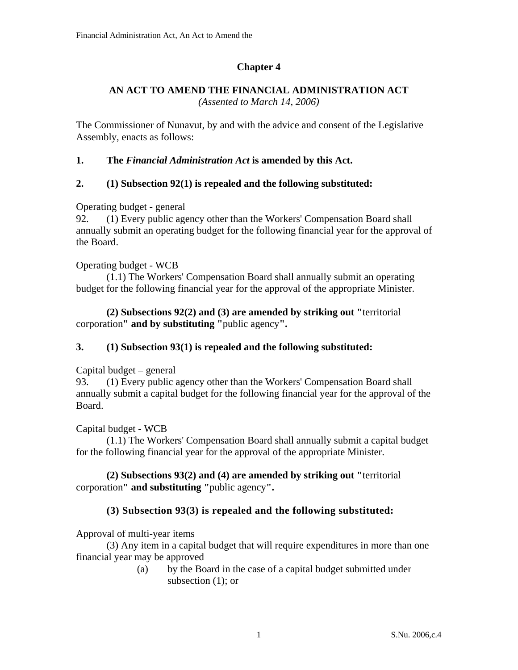# **Chapter 4**

#### **AN ACT TO AMEND THE FINANCIAL ADMINISTRATION ACT**  *(Assented to March 14, 2006)*

The Commissioner of Nunavut, by and with the advice and consent of the Legislative Assembly, enacts as follows:

**1. The** *Financial Administration Act* **is amended by this Act.** 

## **2. (1) Subsection 92(1) is repealed and the following substituted:**

Operating budget - general

92. (1) Every public agency other than the Workers' Compensation Board shall annually submit an operating budget for the following financial year for the approval of the Board.

#### Operating budget - WCB

(1.1) The Workers' Compensation Board shall annually submit an operating budget for the following financial year for the approval of the appropriate Minister.

**(2) Subsections 92(2) and (3) are amended by striking out "**territorial corporation**" and by substituting "**public agency**".** 

## **3. (1) Subsection 93(1) is repealed and the following substituted:**

## Capital budget – general

93. (1) Every public agency other than the Workers' Compensation Board shall annually submit a capital budget for the following financial year for the approval of the Board.

## Capital budget - WCB

(1.1) The Workers' Compensation Board shall annually submit a capital budget for the following financial year for the approval of the appropriate Minister.

**(2) Subsections 93(2) and (4) are amended by striking out "**territorial corporation**" and substituting "**public agency**".** 

## **(3) Subsection 93(3) is repealed and the following substituted:**

Approval of multi-year items

(3) Any item in a capital budget that will require expenditures in more than one financial year may be approved

> (a) by the Board in the case of a capital budget submitted under subsection (1); or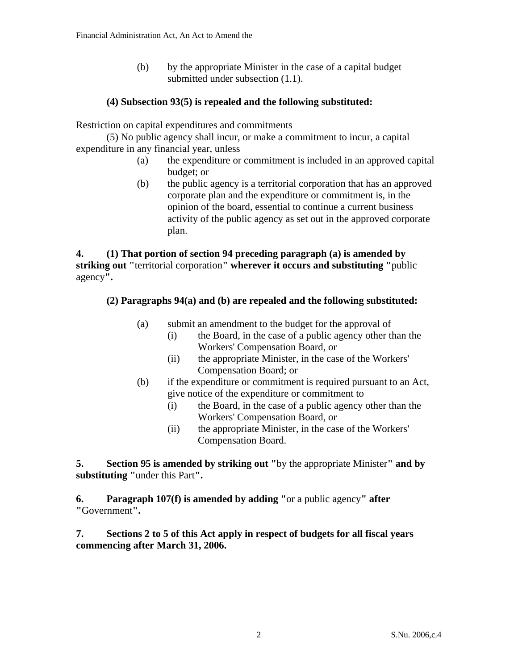(b) by the appropriate Minister in the case of a capital budget submitted under subsection  $(1.1)$ .

#### **(4) Subsection 93(5) is repealed and the following substituted:**

Restriction on capital expenditures and commitments

(5) No public agency shall incur, or make a commitment to incur, a capital expenditure in any financial year, unless

- (a) the expenditure or commitment is included in an approved capital budget; or
- (b) the public agency is a territorial corporation that has an approved corporate plan and the expenditure or commitment is, in the opinion of the board, essential to continue a current business activity of the public agency as set out in the approved corporate plan.

**4. (1) That portion of section 94 preceding paragraph (a) is amended by striking out "**territorial corporation**" wherever it occurs and substituting "**public agency**".** 

#### **(2) Paragraphs 94(a) and (b) are repealed and the following substituted:**

- (a) submit an amendment to the budget for the approval of
	- (i) the Board, in the case of a public agency other than the Workers' Compensation Board, or
	- (ii) the appropriate Minister, in the case of the Workers' Compensation Board; or
- (b) if the expenditure or commitment is required pursuant to an Act, give notice of the expenditure or commitment to
	- (i) the Board, in the case of a public agency other than the Workers' Compensation Board, or
	- (ii) the appropriate Minister, in the case of the Workers' Compensation Board.

**5. Section 95 is amended by striking out "**by the appropriate Minister**" and by substituting "**under this Part**".** 

**6. Paragraph 107(f) is amended by adding "**or a public agency**" after "**Government**".** 

**7. Sections 2 to 5 of this Act apply in respect of budgets for all fiscal years commencing after March 31, 2006.**